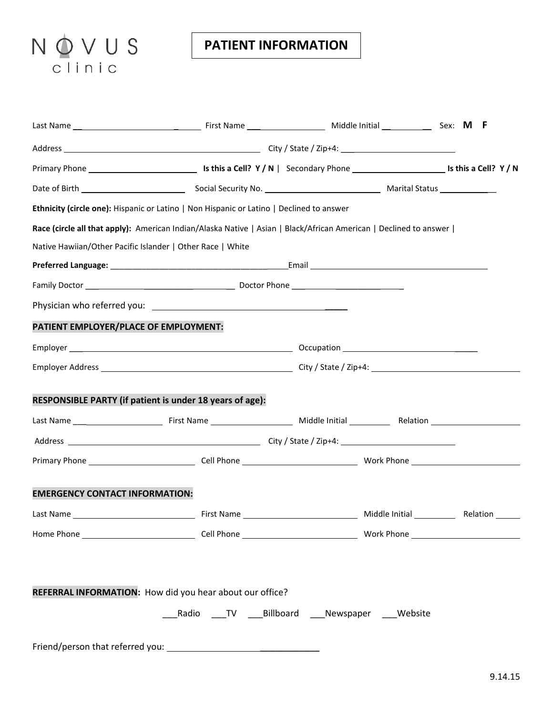## NOVUS

## **PATIENT INFORMATION**

| Ethnicity (circle one): Hispanic or Latino   Non Hispanic or Latino   Declined to answer                          |                                                          |  |  |  |
|-------------------------------------------------------------------------------------------------------------------|----------------------------------------------------------|--|--|--|
| Race (circle all that apply): American Indian/Alaska Native   Asian   Black/African American   Declined to answer |                                                          |  |  |  |
| Native Hawiian/Other Pacific Islander   Other Race   White                                                        |                                                          |  |  |  |
|                                                                                                                   |                                                          |  |  |  |
|                                                                                                                   |                                                          |  |  |  |
|                                                                                                                   |                                                          |  |  |  |
| PATIENT EMPLOYER/PLACE OF EMPLOYMENT:                                                                             |                                                          |  |  |  |
|                                                                                                                   |                                                          |  |  |  |
|                                                                                                                   |                                                          |  |  |  |
| RESPONSIBLE PARTY (if patient is under 18 years of age):                                                          |                                                          |  |  |  |
|                                                                                                                   |                                                          |  |  |  |
|                                                                                                                   |                                                          |  |  |  |
| <b>EMERGENCY CONTACT INFORMATION:</b>                                                                             |                                                          |  |  |  |
|                                                                                                                   |                                                          |  |  |  |
|                                                                                                                   |                                                          |  |  |  |
| REFERRAL INFORMATION: How did you hear about our office?                                                          |                                                          |  |  |  |
|                                                                                                                   | ____Radio ____TV ____Billboard ____Newspaper ____Website |  |  |  |
|                                                                                                                   |                                                          |  |  |  |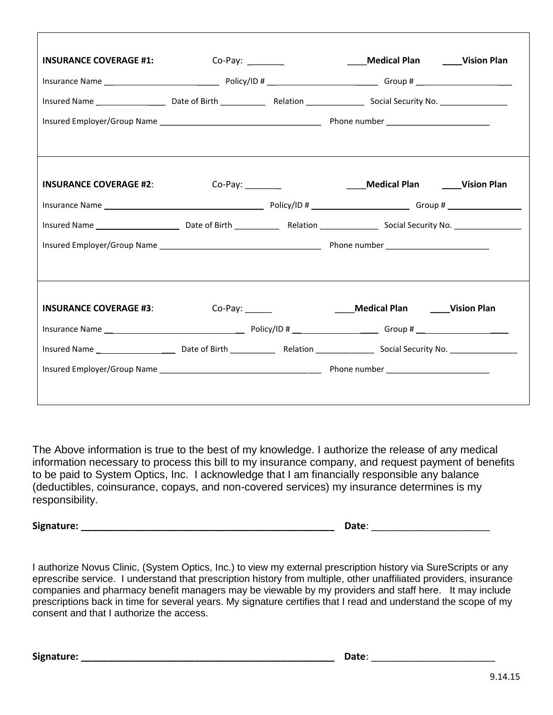| <b>INSURANCE COVERAGE #1:</b>                                        | Co-Pay: $\frac{2}{\sqrt{2}}$ |  | Medical Plan <b>Mancille 1918</b> Vision Plan |  |  |
|----------------------------------------------------------------------|------------------------------|--|-----------------------------------------------|--|--|
|                                                                      |                              |  |                                               |  |  |
|                                                                      |                              |  |                                               |  |  |
|                                                                      |                              |  |                                               |  |  |
|                                                                      |                              |  |                                               |  |  |
| INSURANCE COVERAGE #2: Co-Pay: ________ Medical Plan ____Vision Plan |                              |  |                                               |  |  |
|                                                                      |                              |  |                                               |  |  |
|                                                                      |                              |  |                                               |  |  |
|                                                                      |                              |  |                                               |  |  |
|                                                                      |                              |  |                                               |  |  |
| <b>INSURANCE COVERAGE #3:</b>                                        |                              |  | ____Medical Plan _____Vision Plan             |  |  |
|                                                                      |                              |  |                                               |  |  |
|                                                                      |                              |  |                                               |  |  |
|                                                                      |                              |  |                                               |  |  |
|                                                                      |                              |  |                                               |  |  |

The Above information is true to the best of my knowledge. I authorize the release of any medical information necessary to process this bill to my insurance company, and request payment of benefits to be paid to System Optics, Inc. I acknowledge that I am financially responsible any balance (deductibles, coinsurance, copays, and non-covered services) my insurance determines is my responsibility.

**Signature: \_\_\_\_\_\_\_\_\_\_\_\_\_\_\_\_\_\_\_\_\_\_\_\_\_\_\_\_\_\_\_\_\_\_\_\_\_\_\_\_\_\_\_\_\_\_\_ Date**: \_\_\_\_\_\_\_\_\_\_\_\_\_\_\_\_\_\_\_\_\_\_

I authorize Novus Clinic, (System Optics, Inc.) to view my external prescription history via SureScripts or any eprescribe service. I understand that prescription history from multiple, other unaffiliated providers, insurance companies and pharmacy benefit managers may be viewable by my providers and staff here. It may include prescriptions back in time for several years. My signature certifies that I read and understand the scope of my consent and that I authorize the access.

**Signature: \_\_\_\_\_\_\_\_\_\_\_\_\_\_\_\_\_\_\_\_\_\_\_\_\_\_\_\_\_\_\_\_\_\_\_\_\_\_\_\_\_\_\_\_\_\_\_ Date**: \_\_\_\_\_\_\_\_\_\_\_\_\_\_\_\_\_\_\_\_\_\_\_